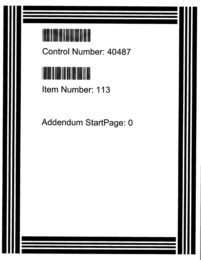

**Control Number**: **40487**



**Item Number**: **113**

Addendum StartPage: 0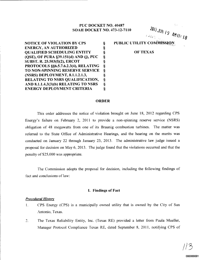# PUC DOCKET NO. 40487 SOAH DOCKET NO. 473-12-7110

 $J^{\circ}$  AMII:  $I^{\circ}$ 

NOTICE OF VIOLATION BY CPS § ENERGY, AN AUTHORIZED § QUALIFIED SCHEDULING ENTITY (QSE), OF PURA §39.151(d) AND (j), PUC §<br>SUBST. R. 25.503(f)(2), ERCOT § SUBST. R. 25.503(f)(2), ERCOT §<br>PROTOCOLS §§6.5.7.6.2.3(4), RELATING §<br>TO NON-SPINNING RESERVE SERVICE § PROTOCOLS §§6.5.7.6.2.3(4), RELATING TO NON-SPINNING RESERVE SERVICE (NSRS) DEPLOYMENT, 8.1.1.2.1.3, § RELATING TO NSRS QUALIFICATION, § AND 8.1.1.4.3(3)(b) RELATING TO NSRS § ENERGY DEPLOYMENT CRITERIA § **PUBLIC UTILITY COMMISSION** 

OF TEXAS

### ORDER

This order addresses the notice of violation brought on June 18, 2012 regarding CPS Energy's failure on February 2, 2011 to provide a non-spinning reserve service (NSRS) obligation of 48 megawatts from one of its Braunig combustion turbines. The matter was referred to the State Office of Administrative Hearings, and the hearing on the merits was conducted on January 22 through January 23, 2013. The administrative law judge issued a proposal for decision on May 6, 2013. The judge found that the violations occurred and that the penalty of \$25,000 was appropriate.

The Commission adopts the proposal for decision, including the following findings of fact **and conclusions of law:**

## 1. Findings of Fact

#### *Procedural History*

- l. CPS Energy (CPS) is a **municipally owned utility that is owned** by the City of San Antonio, Texas.
- 2. The Texas Reliability Entity, Inc. (Texas RE) provided a letter from Paula Mueller, Manager Protocol Compliance Texas RE, dated September 8, 2011, notifying CPS of

 $/ 15$ 000000001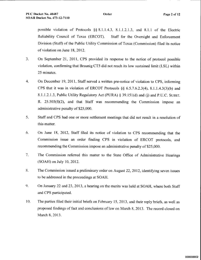possible violation of Protocols §§ 8.1.1.4.3, 8.1.1.2.1.3, and 8.1.1 of the Electric Reliability Council of Texas (ERCOT). Staff for the Oversight and Enforcement Division (Staff) of the Public Utility Commission of Texas (Commission) filed its notice of violation on June 18, 2012.

- **3. On September** 21, 2011, CPS **provided its response to the notice of protocol possible violation, confirming that Braunig** CT5 did not **reach its low sustained limit** (LSL) within 25 minutes.
- 4. On December 19, 2011, Staff served a written pre-notice of violation to CPS, informing CPS that it was in violation of ERCOT Protocols §§ 6.5.7.6.2.3(4), 8.1.1.4.3(3)(b) and 8.1.1.2.1.3, Public Utility Regulatory Act (PURA) § 39.151(d) and (j) and P.U.C. SUBST. R.  $25.503(f)(2)$ , and that Staff was recommending the Commission impose an administrative penalty of \$25,000.
- 5. Staff and CPS had one or more settlement meetings that did not result in a resolution of this matter.
- **6. On June 18,** 2012, **Staff filed its notice of violation to CPS recommending that the** Commission issue an order finding CPS in violation of ERCOT protocols, and recommending the Commission impose an administrative penalty of \$25,000.
- 7. The **Commission referred this matter to the State Office of Administrative Hearings** (SOAH) on July 10, 2012.
- 8. The **Commission issued a preliminary order on August** 22, 2012, **identifying seven issues to be addressed in the proceedings** at SOAH.
- 9. On January 22 and 23, 2013, a hearing on the merits was held at SOAH, where both Staff and CPS participated.
- 10. The parties filed their initial briefs on February 15, 2013, and their reply briefs, as well as proposed findings of fact and conclusions of law on March 8, 2013. The record closed on March 8, 2013.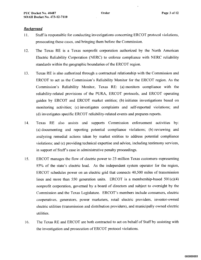## *Background*

- It. Staff is responsible for conducting investigations concerning ERCOT protocol violations, prosecuting these cases, and bringing them before the Commission.
- 12. The Texas RE is a Texas nonprofit corporation authorized by the North American Electric Reliability Corporation (NERC) to enforce compliance with NERC reliability standards within the geographic boundaries of the ERCOT region.
- 13. Texas RE is also authorized through a contractual relationship with the Commission and ERCOT to act as the Commission's Reliability Monitor for the ERCOT region. As the Commission's Reliability Monitor, Texas RE: (a) monitors compliance with the reliability-related provisions of the PURA, ERCOT protocols, and ERCOT operating guides by ERCOT and ERCOT market entities; (b) initiates investigations based on monitoring activities; (c) investigates complaints and self-reported violations; and (d) investigates specific ERCOT reliability-related events and prepares reports.
- 14. Texas RE also assists and supports Commission enforcement activities by: (a) documenting and reporting potential compliance violations; (b) reviewing and analyzing remedial actions taken by market entities to address potential compliance violations; and (c) providing technical expertise and advice, including testimony services, in support of Staff's case in administrative penalty proceedings.
- **15. ERCOT manages the flow of electric power to 23 million Texas customers-representing** 85% of **the state's electric load. As the independent system operator for the region,** ERCOT **schedules power on an electric grid that connects 40,500 miles of transmission** lines and more than 550 generation units. ERCOT is a membership-based  $501(c)(4)$ nonprofit corporation, governed by a board of directors and subject to oversight by the Commission and the Texas Legislature. ERCOT's members include consumers, electric cooperatives, generators, power marketers, retail electric providers, investor-owned electric utilities (transmission and distribution providers), and municipally owned electric utilities.
- 16. The Texas **RE and** ERCOT **are both contracted to act on behalf** of Staff **by assisting with the investigation and prosecution** of ERCOT protocol **violations.**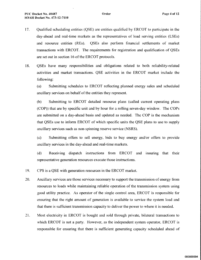- 17. Qualified scheduling entities (QSE) are entities qualified by ERCOT to participate in the day-ahead and real-time markets as the representatives of load serving entities (LSEs) and resource **entities** (REs). QSEs also perform financial settlements of market **transactions** with ERCOT. **The requirements for registration and qualification of QSEs are set out in section 16** of the ERCOT protocols.
- 18. QSEs have many responsibilities and obligations related to both reliability-related activities and market transactions. QSE activities in the ERCOT market include the following:

**(a) Submitting schedules** to ERCOT reflecting **planned** energy **sales** and scheduled ancillary services on behalf of the entities they represent.

(b) Submitting to ERCOT detailed resource plans (called current operating plans (COP)) that are by specific unit and by hour for a rolling seven-day window. The COPs are submitted on a day-ahead basis and updated as needed. The COP is the mechanism that QSEs use to inform ERCOT of which specific units the QSE plans to use to supply ancillary services such as non-spinning reserve service (NSRS).

(c) Submitting offers to sell energy, bids to buy energy and/or offers to provide ancillary services in the day-ahead and real-time markets.

**(d) Receiving dispatch instructions** from ERCOT **and insuring that their** representative generation resources execute those instructions.

- 19. CPS is a QSE with **generation resources** in the ERCOT market.
- 20. Ancillary **services are those services necessary to support the transmission of energy from** resources to loads while maintaining reliable operation of the transmission system using good utility practice. As operator of the single control area, ERCOT is responsible for ensuring that the right amount of generation is available to service the system load and that there is sufficient transmission capacity to deliver the power to where it is needed.
- **21. Most electricity** in ERCOT is **bought** and sold through **private, bilateral transactions to** which ERCOT **is not** a party. **However, as the independent system operator,** ERCOT is responsible for ensuring that there is sufficient generating capacity scheduled ahead of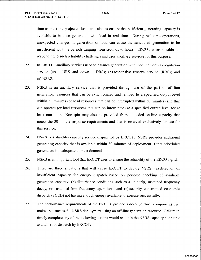**time to meet the projected** load, and **also to ensure** that **sufficient** generating **capacity is available to balance generation with load in real time. During real time operations, unexpected changes in generation** or load can **cause the scheduled generation to be insufficient for time periods ranging from seconds to hours.** ERCOT is **responsible for responding** to such reliability **challenges and uses ancillary services** for this **purpose.**

- 22. In ERCOT, ancillary services used to balance generation with load include: (a) regulation service (up  $-$  URS and down  $-$  DRS); (b) responsive reserve service (RRS); and (c) NSRS.
- 23. NSRS is an ancillary service that is provided through use of the part of off-line generation resources that can be synchronized and ramped to a specified output level within 30 minutes (or load resources that can be interrupted within 30 minutes) and that can operate (or load resources that can be interrupted) at a specified output level for at least one hour. Non-spin may also be provided from unloaded on-line capacity that meets the 30-minute response requirements and that is reserved exclusively for use for this service.
- 24. NSRS is a stand-by capacity service dispatched by ERCOT. NSRS provides additional generating capacity that is available within 30 minutes of deployment if that scheduled generation is inadequate to meet demand.
- 25. NSRS is **an important tool that** ERCOT uses **to ensure the reliability** of the ERCOT grid.
- 26. There are three situations that will cause ERCOT to deploy NSRS: (a) detection of insufficient capacity for energy dispatch based on periodic checking of available generation capacity; (b) disturbance conditions such as a unit trip, sustained frequency decay, or sustained low frequency operations; and (c) security constrained economic dispatch (SCED) not having enough energy available to execute successfully.
- **27. The performance requirements of the** ERCOT **protocols describe three components that make up a successful NSRS deployment using an off-line generation resource. Failure to timely complete** any of **the following actions would result in the NSRS capacity not being available for dispatch** by ERCOT: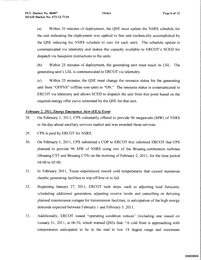(a) Within 20 minutes of deployment, the QSE must update the NSRS schedule for the unit indicating the deployment was applied to that unit (technically accomplished by the QSE reducing the NSRS schedule to zero for each unit). The schedule update is communicated via telemetry and makes the capacity available to ERCOT's SCED for dispatch via basepoint instructions to the units.

(b) Within **25 minutes of deployment, the generating unit must reach its** LSL. The **generating unit's** LSL is **communicated** to ERCOT **via telemetry.**

(c) Within **25 minutes,** the QSE **must change the resource status for the generating unit from** "OFFNS" (**offline non-spin)** to "ON." **The resource status is communicated to** ERCOT **via telemetry and allows SCED to dispatch the unit from that point based on the** required energy offer curve submitted by the QSE for that unit.

# *February 2, 2011, Enemy EmerQency Alert (EEA) Event*

- 28. On February l, 2011, CPS voluntarily offered to provide 96 megawatts (MW) of NSRS in the day-ahead ancillary services market and was awarded those services.
- 29. CPS is paid by ERCOT for NSRS.
- 30. On February 1, 2011, CPS submitted a COP to ERCOT that informed ERCOT that CPS planned to provide 96 MW of NSRS using two of the Braunig combustion turbines (Braunig CT5 and Braunig CT8) on the morning of February 2, 2011, for the time period 04:00 to 05:00.
- 31. In February 2011, Texas experienced record **cold temperatures** that **caused numerous** electric generating facilities to trip off-line or to fail.
- **32. Beginning January 27,** 2011, ERCOT **took steps, such as adjusting load forecasts,** scheduling additional generation, adjusting reserve levels and cancelling or delaying planned maintenance outages for transmission facilities, in anticipation of the high energy demands expected between February 1 and February 3, 2011.
- 33. Additionally, ERCOT issued **"operating condition notices" (including one issued on** January 31, 2011, at 06:30, which warned QSEs that: "A cold front is approaching with temperatures anticipated to be in the mid to low 18 degree range and maximum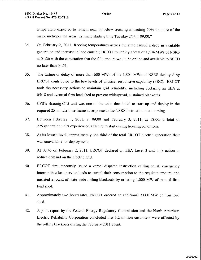**temperature** expected **to remain near** or below freezing impacting 50% or more of the **major metropolitan areas. Estimate starting** time Tuesday 2/1/11 09:00."

- 34. On February 2, 2011, **freezing temperatures across the state** caused a drop **in available generation and increase in load causing** ERCOT to deploy a total of 1,804 MWs of NSRS at 04:26 with the expectation that the full amount would be online and available to SCED no later than 04:5 1.
- 35. The **failure** or delay of **more than** 600 MWs of the 1,804 MWs of NSRS deployed by ERCOT **contributed to the low levels** of physical **responsive capability** (PRC). ERCOT took the necessary actions to maintain grid reliability, including declaring an EEA at 05:18 and eventual firm load shed to prevent widespread, sustained blackouts.
- 36. CPS's Braunig CT5 unit was one of the units that failed to start up and deploy in the required 25-minute time frame in response to the NSRS instruction that morning.
- 37. Between February 1, 2011, at 09:00 and February 3, 2011, at 18:00, a total of 225 generation units experienced a failure to start during freezing conditions.
- 38. At its lowest level, approximately one-third of the total ERCOT electric generation fleet was unavailable for deployment.
- 39. At 05:43 **on February** 2, 2011, ERCOT **declared** an EEA Level **3 and took action to** reduce demand on the electric grid.
- 40. ERCOT **simultaneously issued a verbal dispatch instruction calling on all emergency** interruptible load service loads to curtail their consumption to the requisite amount, and **initiated a round of state-wide rolling blackouts by ordering** 1,000 MW **of manual firm** load shed.
- 41. Approximately two hours later, ERCOT ordered an additional 3,000 MW of firm load shed.
- 42. A joint report by the Federal Energy Regulatory Commission and the North American Electric Reliability Corporation concluded that 3.2 million customers were affected, by the rolling blackouts during the February 2011 event.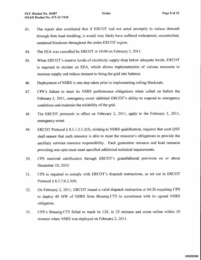- 43. The report also concluded that if ERCOT had not acted promptly to reduce demand through firm load shedding, it would very likely have suffered widespread, uncontrolled, **sustained blackouts** throughout the entire ERCOT **region.**
- 44. The **EEA was cancelled** by ERCOT **at 10:00 on February** 3, 2011.
- 45. When ERCOT's **reserve levels** of electricity supply drop below adequate levels, ERCOT is required to declare an EEA, which allows implementation of various measures to increase supply and reduce demand to bring the grid into balance.
- 46. Deployment of NSRS is one step taken prior to implementing rolling blackouts.
- 47. CPS's **failure to meet its NSRS performance obligations when called on before the** February **2, 2011, emergency event inhibited** ERCOT's ability **to respond to emergency** conditions **and maintain** the reliability of the grid.
- 48. The ERCOT protocols in effect on February 2, 2011, apply to the February 2, 2011, emergency event.
- 49. ERCOT Protocol § 8.1.1.2.1.3(5), relating to NSRS qualification, requires that each QSE shall ensure that each resource is able to meet the resource's obligations to provide the ancillary services resource responsibility. Each generation resource and load resource providing non-spin must meet specified additional technical requirements.
- 50. CPS received certification through ERCOT's grandfathered provision on or about December 10, 2010.
- 51. CPS is **required** to comply with ERCOT's **dispatch instructions, as set** out in ERCOT **Protocol** § 6.5.7.6.2.3(4).
- 52. On **February** 2, 2011, ERCOT **issued a valid dispatch instruction at 04:26 requiring CPS** to deploy 48 MW of NSRS **from Braunig** CT5 in accordance with its agreed NSRS obligation.
- 53. CPS's **Braunig CT5 failed to reach its LSL in 25 minutes and come online within 30 minutes when NSRS was deployed on February** 2, 2011.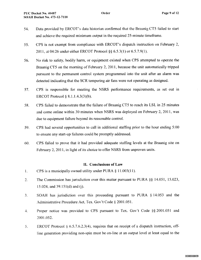- 54. Data provided by ERCOT's data historian confirmed that the Braunig CT5 failed to start and achieve the required minimum output in the required 25-minute timeframe.
- 55. CPS is **not exempt from compliance** with ERCOT's **dispatch instruction** on February 2, 2011, at 04:26 under either ERCOT Protocol §§ 6.5.3(l) or 6.5.7.9(l).
- 56. No risk to safety, bodily harm, or equipment existed when CPS attempted to operate the Braunig CT5 on the morning of February 2, 2011, because the unit automatically tripped pursuant to the permanent control system programmed into the unit after an alarm was detected indicating that the SCR tempering air fans were not operating as designed.
- 57. CPS is **responsible for meeting the NSRS performance requirements, as set out in** ERCOT Protocol § 8.1.1.4.3(3)(b).
- 58. CPS failed **to demonstrate that the failure of Braunig** CT5 to reach its LSL in **25 minutes** and come online within 30 minutes when NSRS was deployed on February 2, 2011, was due to **equipment** failure beyond **its reasonable control.**
- 59. CPS had **several opportunities to call in additional** staffing **prior to the hour ending 5:00** to ensure any start-up failures could be promptly addressed.
- 60. CPS failed to prove that it had provided **adequate** staffing **levels at the Braunig site on** February 2, 2011, in light of its choice to offer NSRS from unproven units.

#### It. Conclusions of Law

- l. CPS is a municipally owned utility under PURA § 11.003(11).
- 2. The **Commission has jurisdiction over this matter pursuant** to PURA §§ 14.051, 15.023, 15.024, and 39.151(d) and (j).
- 3. SOAH has **jurisdiction over this proceeding pursuant** to PURA **§ 14.053 and the** Administrative Procedure Act, Tex. Gov't Code § 2001.051.
- 4. Proper notice was provided to CPS pursuant to Tex. Gov't Code §§ 2001.051 and 2001.052.
- 5. ERCOT **Protocol** § 6.5.7.6.2.3(4), **requires that on receipt of a dispatch instruction, off**line generation providing non-spin must be on-line at an output level at least equal to the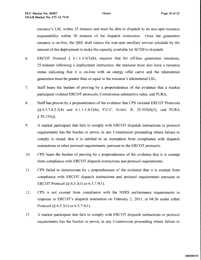resource's LSL within 25 minutes and must be able to dispatch to its non-spin resource responsibility within 30 minutes of the dispatch instruction. Once the generation resource is on-line, the QSE shall reduce the non-spin ancillary service schedule by the amount of the deployment to make the capacity available for SCED to dispatch.

- 6. ERCOT Protocol § 8.1.1.4.3(3)(b), **requires** that for **off-line generation resources,** 25 minutes following a deployment instruction, the resource must also have a resource status indicating that it is on-line with an energy offer curve and the telemetered **generation must be greater than** or equal to **the resource's** telemetered LSL.
- 7. Staff bears the burden of proving by a preponderance of the evidence that a market participant violated ERCOT protocols, Commission substantive rules, and PURA.
- 8. Staff has proven by a preponderance of the evidence that CPS violated ERCOT Protocols §§ 6.5.7.6.2.3(4) and 8.1.1.4.3(3)(b), P.U.C. SUBST. R. 25.503(f)(2), and PURA  $§$  39.151(j).
- 9. A market participant that fails to comply with ERCOT dispatch instructions or protocol requirements has the burden to prove, in any Commission proceeding where failure to comply is raised, that it is entitled to an exemption from compliance with dispatch instructions or other protocol requirements, pursuant to the ERCOT protocols.
- 10. CPS bears the burden of proving by a preponderance of the evidence that it is exempt **from compliance** with ERCOT dispatch **instructions and protocol requirements.**
- 11. CPS failed to demonstrate by a preponderance of the evidence that it is exempt from compliance with ERCOT dispatch instructions and protocol requirements pursuant to ERCOT Protocol §§ 6.5.3(l) or 6.5.7.9(1).
- 12. CPS is not exempt from compliance with the NSRS performance requirements in **response** to ERCOT's dispatch **instruction** on February 2, 2011, at 04:26 under either Protocol §§ 6.5.3(1) or 6.5.7.9(l).
- 13. A market **participant** that fails to comply with ERCOT dispatch **instructions** or protocol requirements has the burden to prove, in any Commission proceeding where failure to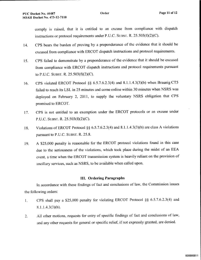comply is **raised, that it is entitled to an excuse from compliance with dispatch instructions or protocol requirements** under P.U.C. SUBsT. R. 25.503(t)(2)(C).

- 14. CPS bears the burden of proving by a preponderance of the evidence that it should be excused from compliance with ERCOT dispatch instructions and protocol requirements.
- 15. CPS **failed to demonstrate by a preponderance** of the **evidence that it should be excused from compliance** with ERCOT **dispatch instructions and protocol requirements pursuant** to P.U.C. SUBST. R.  $25.503(f)(2)(C)$ .
- 16. CPS violated ERCOT Protocol §§ 6.5.7.6.2.3(4) and 8.1.1.4.3(3)(b) when Braunig CT5 failed to reach its LSL in 25 minutes and come online within 30 minutes when NSRS was deployed on February 2, 2011, to supply the voluntary NSRS obligation that CPS **promised** to ERCOT.
- 17. CPS is not entitled to an exemption under the ERCOT protocols or an excuse under P.U.C. SUBST. R.  $25.503(f)(2)(C)$ .
- **18. Violations** of ERCOT Protocol §§ 6.5.7.6.2.3(4) **and 8.1.1.4.3(3)(b) are class A violations pursuant** to P.V.C. SussT. R. 25.8.
- 19. A \$25,000 penalty is reasonable for the ERCOT protocol violations found in this case due to the seriousness of the violations, which took place during the midst of an EEA event, a time when the ERCOT transmission system is heavily reliant on the provision of ancillary **services, such** as NSRS, **to be available when called upon.**

# III. Ordering Paragraphs

**In accordance** with these findings of fact **and conclusions** of law, the Commission issues the following orders:

- 1. CPS shall pay a \$25,000 penalty for violating ERCOT Protocol §§ 6.5.7.6.2.3(4) and 8.1.1.4.3(3)(b).
- 2. All other motions, requests for entry of specific findings of fact and conclusions of law, and any other requests for general or specific relief, if not expressly granted, are denied.